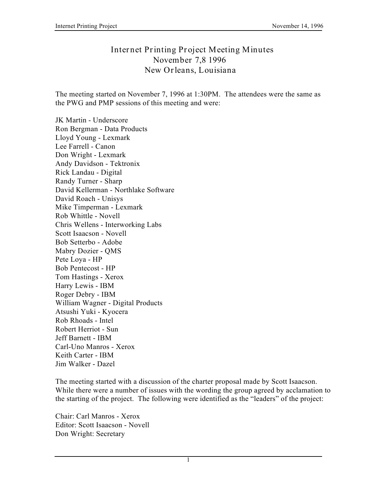## **Internet Printing Project Meeting Minutes November 7,8 1996 New Orleans, Louisiana**

The meeting started on November 7, 1996 at 1:30PM. The attendees were the same as the PWG and PMP sessions of this meeting and were:

JK Martin - Underscore Ron Bergman - Data Products Lloyd Young - Lexmark Lee Farrell - Canon Don Wright - Lexmark Andy Davidson - Tektronix Rick Landau - Digital Randy Turner - Sharp David Kellerman - Northlake Software David Roach - Unisys Mike Timperman - Lexmark Rob Whittle - Novell Chris Wellens - Interworking Labs Scott Isaacson - Novell Bob Setterbo - Adobe Mabry Dozier - QMS Pete Loya - HP Bob Pentecost - HP Tom Hastings - Xerox Harry Lewis - IBM Roger Debry - IBM William Wagner - Digital Products Atsushi Yuki - Kyocera Rob Rhoads - Intel Robert Herriot - Sun Jeff Barnett - IBM Carl-Uno Manros - Xerox Keith Carter - IBM Jim Walker - Dazel

The meeting started with a discussion of the charter proposal made by Scott Isaacson. While there were a number of issues with the wording the group agreed by acclamation to the starting of the project. The following were identified as the "leaders" of the project:

Chair: Carl Manros - Xerox Editor: Scott Isaacson - Novell Don Wright: Secretary

1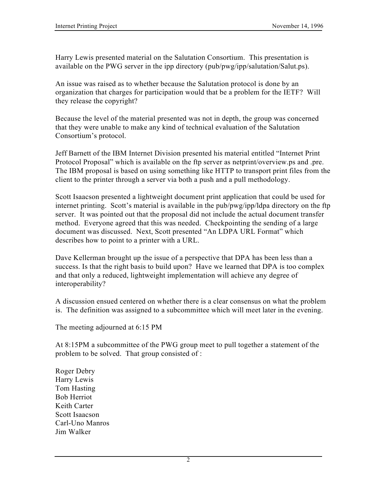Harry Lewis presented material on the Salutation Consortium. This presentation is available on the PWG server in the ipp directory (pub/pwg/ipp/salutation/Salut.ps).

An issue was raised as to whether because the Salutation protocol is done by an organization that charges for participation would that be a problem for the IETF? Will they release the copyright?

Because the level of the material presented was not in depth, the group was concerned that they were unable to make any kind of technical evaluation of the Salutation Consortium's protocol.

Jeff Barnett of the IBM Internet Division presented his material entitled "Internet Print Protocol Proposal" which is available on the ftp server as netprint/overview.ps and .pre. The IBM proposal is based on using something like HTTP to transport print files from the client to the printer through a server via both a push and a pull methodology.

Scott Isaacson presented a lightweight document print application that could be used for internet printing. Scott's material is available in the pub/pwg/ipp/ldpa directory on the ftp server. It was pointed out that the proposal did not include the actual document transfer method. Everyone agreed that this was needed. Checkpointing the sending of a large document was discussed. Next, Scott presented "An LDPA URL Format" which describes how to point to a printer with a URL.

Dave Kellerman brought up the issue of a perspective that DPA has been less than a success. Is that the right basis to build upon? Have we learned that DPA is too complex and that only a reduced, lightweight implementation will achieve any degree of interoperability?

A discussion ensued centered on whether there is a clear consensus on what the problem is. The definition was assigned to a subcommittee which will meet later in the evening.

The meeting adjourned at 6:15 PM

At 8:15PM a subcommittee of the PWG group meet to pull together a statement of the problem to be solved. That group consisted of :

Roger Debry Harry Lewis Tom Hasting Bob Herriot Keith Carter Scott Isaacson Carl-Uno Manros Jim Walker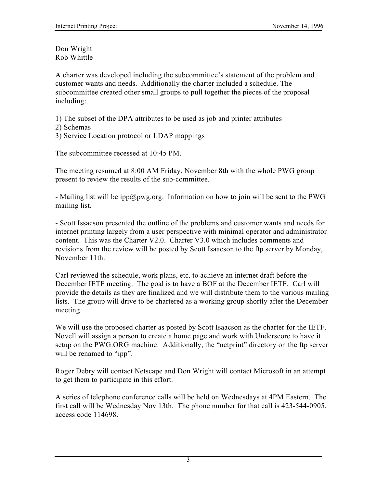Don Wright Rob Whittle

A charter was developed including the subcommittee's statement of the problem and customer wants and needs. Additionally the charter included a schedule. The subcommittee created other small groups to pull together the pieces of the proposal including:

1) The subset of the DPA attributes to be used as job and printer attributes

- 2) Schemas
- 3) Service Location protocol or LDAP mappings

The subcommittee recessed at 10:45 PM.

The meeting resumed at 8:00 AM Friday, November 8th with the whole PWG group present to review the results of the sub-committee.

- Mailing list will be ipp@pwg.org. Information on how to join will be sent to the PWG mailing list.

- Scott Issacson presented the outline of the problems and customer wants and needs for internet printing largely from a user perspective with minimal operator and administrator content. This was the Charter V2.0. Charter V3.0 which includes comments and revisions from the review will be posted by Scott Isaacson to the ftp server by Monday, November 11th.

Carl reviewed the schedule, work plans, etc. to achieve an internet draft before the December IETF meeting. The goal is to have a BOF at the December IETF. Carl will provide the details as they are finalized and we will distribute them to the various mailing lists. The group will drive to be chartered as a working group shortly after the December meeting.

We will use the proposed charter as posted by Scott Isaacson as the charter for the IETF. Novell will assign a person to create a home page and work with Underscore to have it setup on the PWG.ORG machine. Additionally, the "netprint" directory on the ftp server will be renamed to "ipp".

Roger Debry will contact Netscape and Don Wright will contact Microsoft in an attempt to get them to participate in this effort.

A series of telephone conference calls will be held on Wednesdays at 4PM Eastern. The first call will be Wednesday Nov 13th. The phone number for that call is 423-544-0905, access code 114698.

3